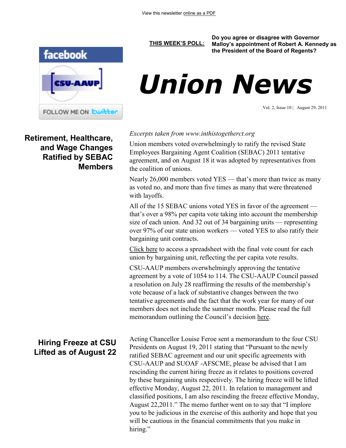

**Retirement, Healthcare, and Wage Changes Ratified by SEBAC Members**

### **[THIS WEEK'S POLL:](http://www.csuaaup.org/)**

**Do you agree or disagree with Governor Malloy's appointment of Robert A. Kennedy as the President of the Board of Regents?**



Vol. 2, Issue 10 | August 29, 2011

### *Excerpts taken from www.inthistogetherct.org*

Union members voted overwhelmingly to ratify the revised State Employees Bargaining Agent Coalition (SEBAC) 2011 tentative agreement, and on August 18 it was adopted by representatives from the coalition of unions.

Nearly 26,000 members voted YES — that's more than twice as many as voted no, and more than five times as many that were threatened with layoffs.

All of the 15 SEBAC unions voted YES in favor of the agreement that's over a 98% per capita vote taking into account the membership size of each union. And 32 out of 34 bargaining units — representing over 97% of our state union workers — voted YES to also ratify their bargaining unit contracts.

[Click here](http://inthistogetherct.org/wp-content/uploads/2011/08/L2001-REV-SEBAC-11-TA-TALLY.pdf) to access a spreadsheet with the final vote count for each union by bargaining unit, reflecting the per capita vote results.

CSU-AAUP members overwhelmingly approving the tentative agreement by a vote of 1054 to 114. The CSU-AAUP Council passed a resolution on July 28 reaffirming the results of the membership's vote because of a lack of substantive changes between the two tentative agreements and the fact that the work year for many of our members does not include the summer months. Please read the full memorandum outlining the Council's decision [here.](http://www.csuaaup.org/wp-content/uploads/2011/08/CouncilAffirmsSEBACVote.pdf)

Acting Chancellor Louise Feroe sent a memorandum to the four CSU Presidents on August 19, 2011 stating that "Pursuant to the newly ratified SEBAC agreement and our unit specific agreements with CSU-AAUP and SUOAF -AFSCME, please be advised that I am rescinding the current hiring freeze as it relates to positions covered by these bargaining units respectively. The hiring freeze will be lifted effective Monday, August 22, 2011. In relation to management and classified positions, I am also rescinding the freeze effective Monday, August 22,2011." The memo further went on to say that "I implore you to be judicious in the exercise of this authority and hope that you will be cautious in the financial commitments that you make in hiring."

## **Hiring Freeze at CSU Lifted as of August 22**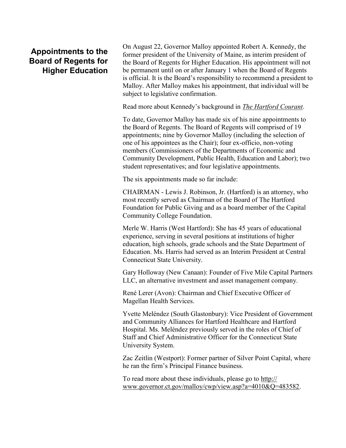# **Appointments to the Board of Regents for Higher Education**

On August 22, Governor Malloy appointed Robert A. Kennedy, the former president of the University of Maine, as interim president of the Board of Regents for Higher Education. His appointment will not be permanent until on or after January 1 when the Board of Regents is official. It is the Board's responsibility to recommend a president to Malloy. After Malloy makes his appointment, that individual will be subject to legislative confirmation.

Read more about Kennedy's background in *[The Hartford Courant](http://www.courant.com/news/education/hc-malloy-higher-education-announceme20110822,0,4565745.story)*.

To date, Governor Malloy has made six of his nine appointments to the Board of Regents. The Board of Regents will comprised of 19 appointments; nine by Governor Malloy (including the selection of one of his appointees as the Chair); four ex-officio, non-voting members (Commissioners of the Departments of Economic and Community Development, Public Health, Education and Labor); two student representatives; and four legislative appointments.

The six appointments made so far include:

CHAIRMAN - Lewis J. Robinson, Jr. (Hartford) is an attorney, who most recently served as Chairman of the Board of The Hartford Foundation for Public Giving and as a board member of the Capital Community College Foundation.

Merle W. Harris (West Hartford): She has 45 years of educational experience, serving in several positions at institutions of higher education, high schools, grade schools and the State Department of Education. Ms. Harris had served as an Interim President at Central Connecticut State University.

Gary Holloway (New Canaan): Founder of Five Mile Capital Partners LLC, an alternative investment and asset management company.

René Lerer (Avon): Chairman and Chief Executive Officer of Magellan Health Services.

Yvette Meléndez (South Glastonbury): Vice President of Government and Community Alliances for Hartford Healthcare and Hartford Hospital. Ms. Meléndez previously served in the roles of Chief of Staff and Chief Administrative Officer for the Connecticut State University System.

Zac Zeitlin (Westport): Former partner of Silver Point Capital, where he ran the firm's Principal Finance business.

To read more about these individuals, please go to [http://](http://www.governor.ct.gov/malloy/cwp/view.asp?a=4010&Q=483582) [www.governor.ct.gov/malloy/cwp/view.asp?a=4010&Q=483582.](http://www.governor.ct.gov/malloy/cwp/view.asp?a=4010&Q=483582)